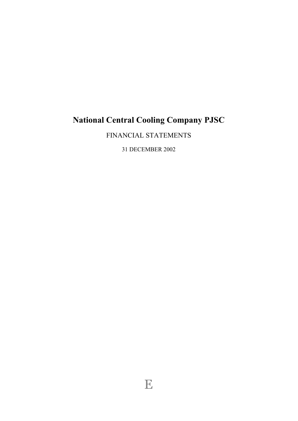# **National Central Cooling Company PJSC**

FINANCIAL STATEMENTS

31 DECEMBER 2002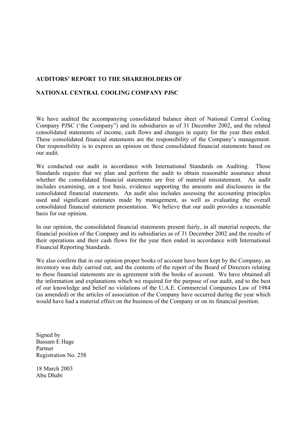# **AUDITORS' REPORT TO THE SHAREHOLDERS OF**

# **NATIONAL CENTRAL COOLING COMPANY PJSC**

We have audited the accompanying consolidated balance sheet of National Central Cooling Company PJSC ('the Company") and its subsidiaries as of 31 December 2002, and the related consolidated statements of income, cash flows and changes in equity for the year then ended. These consolidated financial statements are the responsibility of the Company's management. Our responsibility is to express an opinion on these consolidated financial statements based on our audit.

We conducted our audit in accordance with International Standards on Auditing. Those Standards require that we plan and perform the audit to obtain reasonable assurance about whether the consolidated financial statements are free of material misstatement. An audit includes examining, on a test basis, evidence supporting the amounts and disclosures in the consolidated financial statements. An audit also includes assessing the accounting principles used and significant estimates made by management, as well as evaluating the overall consolidated financial statement presentation. We believe that our audit provides a reasonable basis for our opinion.

In our opinion, the consolidated financial statements present fairly, in all material respects, the financial position of the Company and its subsidiaries as of 31 December 2002 and the results of their operations and their cash flows for the year then ended in accordance with International Financial Reporting Standards.

We also confirm that in our opinion proper books of account have been kept by the Company, an inventory was duly carried out, and the contents of the report of the Board of Directors relating to these financial statements are in agreement with the books of account. We have obtained all the information and explanations which we required for the purpose of our audit, and to the best of our knowledge and belief no violations of the U.A.E. Commercial Companies Law of 1984 (as amended) or the articles of association of the Company have occurred during the year which would have had a material effect on the business of the Company or on its financial position.

Signed by Bassam E Hage Partner Registration No. 258

18 March 2003 Abu Dhabi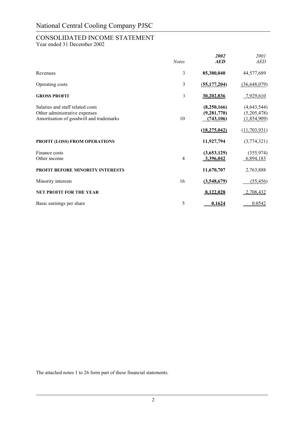# CONSOLIDATED INCOME STATEMENT

Year ended 31 December 2002

|                                                                                                              | <b>Notes</b>   | 2002<br><b>AED</b>                         | 2001<br><b>AED</b>                          |
|--------------------------------------------------------------------------------------------------------------|----------------|--------------------------------------------|---------------------------------------------|
| Revenues                                                                                                     | $\mathfrak{Z}$ | 85,380,040                                 | 44,577,689                                  |
| Operating costs                                                                                              | 3              | (55, 177, 204)                             | (36,648,079)                                |
| <b>GROSS PROFIT</b>                                                                                          | 3              | 30,202,836                                 | 7,929,610                                   |
| Salaries and staff related costs<br>Other administrative expenses<br>Amortisation of goodwill and trademarks | 10             | (8,250,166)<br>(9, 281, 770)<br>(743, 106) | (4, 643, 544)<br>(5,205,478)<br>(1,854,909) |
|                                                                                                              |                | (18, 275, 042)                             | (11, 703, 931)                              |
| PROFIT (LOSS) FROM OPERATIONS                                                                                |                | 11,927,794                                 | (3,774,321)                                 |
| Finance costs<br>Other income                                                                                | 4              | (3,653,129)<br>3,396,042                   | (355, 974)<br>6,894,183                     |
| <b>PROFIT BEFORE MINORITY INTERESTS</b>                                                                      |                | 11,670,707                                 | 2,763,888                                   |
| Minority interests                                                                                           | 16             | (3,548,679)                                | (55, 456)                                   |
| <b>NET PROFIT FOR THE YEAR</b>                                                                               |                | 8,122,028                                  | 2,708,432                                   |
| Basic earnings per share                                                                                     | 5              | 0.1624                                     | 0.0542                                      |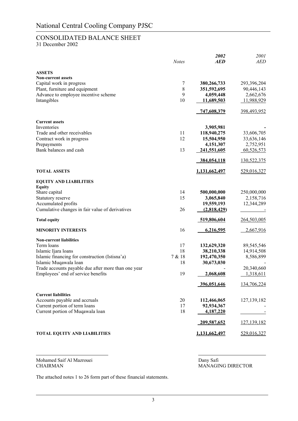# CONSOLIDATED BALANCE SHEET

31 December 2002

|                                                     |              | 2002               | 2001        |
|-----------------------------------------------------|--------------|--------------------|-------------|
|                                                     | <b>Notes</b> | <b>AED</b>         | <b>AED</b>  |
| <b>ASSETS</b>                                       |              |                    |             |
| <b>Non-current assets</b>                           |              |                    |             |
| Capital work in progress                            | 7            | 380,266,733        | 293,396,204 |
| Plant, furniture and equipment                      | 8            | 351,592,695        | 90,446,143  |
| Advance to employee incentive scheme                | 9            | 4,059,448          | 2,662,676   |
| Intangibles                                         | 10           | 11,689,503         | 11,988,929  |
|                                                     |              | <u>747,608,379</u> | 398,493,952 |
| <b>Current assets</b>                               |              |                    |             |
| Inventories                                         |              | 3,905,981          |             |
| Trade and other receivables                         | 11           | 118,940,275        | 33,606,705  |
| Contract work in progress                           | 12           | 15,504,950         | 33,636,146  |
| Prepayments                                         |              | 4,151,307          | 2,752,951   |
| Bank balances and cash                              | 13           | 241,551,605        | 60,526,573  |
|                                                     |              | 384,054,118        | 130,522,375 |
| <b>TOTAL ASSETS</b>                                 |              | 1,131,662,497      | 529,016,327 |
| <b>EQUITY AND LIABILITIES</b>                       |              |                    |             |
| <b>Equity</b>                                       |              |                    |             |
| Share capital                                       | 14           | 500,000,000        | 250,000,000 |
| Statutory reserve                                   | 15           | 3,065,840          | 2,158,716   |
| Accumulated profits                                 |              | 19,559,193         | 12,344,289  |
| Cumulative changes in fair value of derivatives     | 26           | (2,818,429)        |             |
| <b>Total equity</b>                                 |              | 519,806,604        | 264,503,005 |
| <b>MINORITY INTERESTS</b>                           | 16           | 6,216,595          | 2,667,916   |
| <b>Non-current liabilities</b>                      |              |                    |             |
| Term loans                                          | 17           | 132,629,320        | 89,545,546  |
| Islamic Ijara loans                                 | 18           | 38,210,338         | 14,914,508  |
| Islamic financing for construction (Istisna'a)      | 7 & 18       | 192,470,350        | 8,586,899   |
| Islamic Muqawala loan                               | 18           | 30,673,030         |             |
| Trade accounts payable due after more than one year |              |                    | 20,340,660  |
| Employees' end of service benefits                  | 19           | 2,068,608          | 1,318,611   |
|                                                     |              | 396,051,646        | 134,706,224 |
| <b>Current liabilities</b>                          |              |                    |             |
| Accounts payable and accruals                       | 20           | 112,466,065        | 127,139,182 |
| Current portion of term loans                       | 17           | 92,934,367         |             |
| Current portion of Muqawala loan                    | 18           | 4,187,220          |             |
|                                                     |              | 209,587,652        | 127,139,182 |
| <b>TOTAL EQUITY AND LIABILITIES</b>                 |              | 1,131,662,497      | 529,016,327 |

Mohamed Saif Al Mazrouei Dany Safi Dany Safi Dany Safi Dany Safi Dany Safi Dany Safi Dany Safi Dany Safi Dany Safi Dany Safi Dany Safi Dany Safi Dany Safi Dany Safi Dany Safi Dany Safi Dany Safi Dany Safi Dany Safi Dany Sa

MANAGING DIRECTOR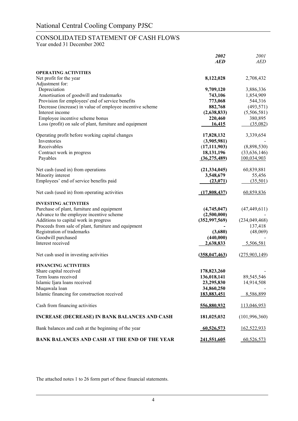# CONSOLIDATED STATEMENT OF CASH FLOWS

Year ended 31 December 2002

|                                                           | 2002<br><b>AED</b> | 2001<br><b>AED</b> |
|-----------------------------------------------------------|--------------------|--------------------|
| <b>OPERATING ACTIVITIES</b>                               |                    |                    |
| Net profit for the year                                   | 8,122,028          | 2,708,432          |
| Adjustment for:                                           |                    |                    |
| Depreciation                                              | 9,709,120          | 3,886,336          |
| Amortisation of goodwill and trademarks                   | 743,106            | 1,854,909          |
| Provision for employees' end of service benefits          | 773,068            | 544,316            |
| Decrease (increase) in value of employee incentive scheme | 882,768            | (493, 571)         |
| Interest income                                           | (2,638,833)        | (5,506,581)        |
| Employee incentive scheme bonus                           | 220,460            | 380,895            |
| Loss (profit) on sale of plant, furniture and equipment   | 16,415             | (35,082)           |
| Operating profit before working capital changes           | 17,828,132         | 3,339,654          |
| Inventories                                               | (3,905,981)        |                    |
| Receivables                                               | (17, 111, 903)     | (8,898,530)        |
| Contract work in progress                                 | 18, 131, 196       | (33,636,146)       |
| Payables                                                  | (36, 275, 489)     | 100,034,903        |
| Net cash (used in) from operations                        | (21, 334, 045)     | 60,839,881         |
| Minority interest                                         | 3,548,679          | 55,456             |
| Employees' end of service benefits paid                   | (23,071)           | (35,501)           |
| Net cash (used in) from operating activities              | (17,808,437)       | 60,859,836         |
| <b>INVESTING ACTIVITIES</b>                               |                    |                    |
| Purchase of plant, furniture and equipment                | (4,745,047)        | (47, 449, 611)     |
| Advance to the employee incentive scheme                  | (2,500,000)        |                    |
| Additions to capital work in progress                     | (352, 997, 569)    | (234, 049, 468)    |
| Proceeds from sale of plant, furniture and equipment      |                    | 137,418            |
| Registration of trademarks                                | (3,680)            | (48,069)           |
| Goodwill purchased                                        | (440,000)          |                    |
| Interest received                                         | 2,638,833          | 5,506,581          |
| Net cash used in investing activities                     | (358, 047, 463)    | (275,903,149)      |
| <b>FINANCING ACTIVITIES</b>                               |                    |                    |
| Share capital received                                    | 178,823,260        |                    |
| Term loans received                                       | 136,018,141        | 89,545,546         |
| Islamic Ijara loans received                              | 23,295,830         | 14,914,508         |
| Muqawala loan                                             | 34,860,250         |                    |
| Islamic financing for construction received               | 183,883,451        | 8,586,899          |
| Cash from financing activities                            | <u>556,880,932</u> | <u>113,046,953</u> |
| <b>INCREASE (DECREASE) IN BANK BALANCES AND CASH</b>      | 181,025,032        | (101, 996, 360)    |
| Bank balances and cash at the beginning of the year       | 60,526,573         | 162,522,933        |
| BANK BALANCES AND CASH AT THE END OF THE YEAR             | 241,551,605        | 60,526,573         |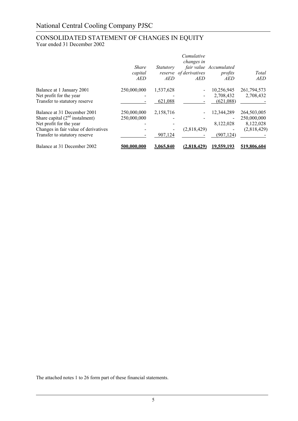# CONSOLIDATED STATEMENT OF CHANGES IN EQUITY Year ended 31 December 2002

|                                      |              |            | Cumulative<br>changes in |                        |             |
|--------------------------------------|--------------|------------|--------------------------|------------------------|-------------|
|                                      | <b>Share</b> | Statutory  |                          | fair value Accumulated |             |
|                                      | capital      |            | reserve of derivatives   | profits                | Total       |
|                                      | AED          | <b>AED</b> | <i>AED</i>               | <b>AED</b>             | <i>AED</i>  |
| Balance at 1 January 2001            | 250,000,000  | 1,537,628  |                          | 10,256,945             | 261,794,573 |
| Net profit for the year              |              |            |                          | 2,708,432              | 2,708,432   |
| Transfer to statutory reserve        |              | 621,088    |                          | (621,088)              |             |
| Balance at 31 December 2001          | 250,000,000  | 2,158,716  |                          | 12,344,289             | 264,503,005 |
| Share capital $(2nd$ instalment)     | 250,000,000  |            |                          |                        | 250,000,000 |
| Net profit for the year              |              |            |                          | 8,122,028              | 8,122,028   |
| Changes in fair value of derivatives |              |            | (2,818,429)              |                        | (2,818,429) |
| Transfer to statutory reserve        |              | 907,124    |                          | (907, 124)             |             |
| Balance at 31 December 2002          | 500,000,000  | 3.065.840  | <u>(2.818.429)</u>       | <u>19.559.193</u>      | 519.806.604 |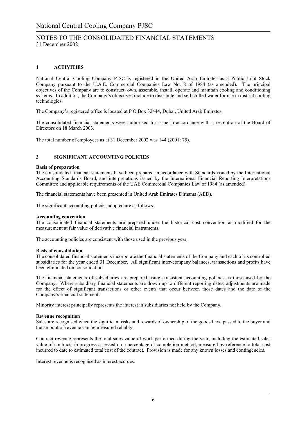# **1 ACTIVITIES**

National Central Cooling Company PJSC is registered in the United Arab Emirates as a Public Joint Stock Company pursuant to the U.A.E. Commercial Companies Law No. 8 of 1984 (as amended). The principal objectives of the Company are to construct, own, assemble, install, operate and maintain cooling and conditioning systems. In addition, the Company's objectives include to distribute and sell chilled water for use in district cooling technologies.

The Company's registered office is located at P O Box 32444, Dubai, United Arab Emirates.

The consolidated financial statements were authorised for issue in accordance with a resolution of the Board of Directors on 18 March 2003.

The total number of employees as at 31 December 2002 was 144 (2001: 75).

### **2 SIGNIFICANT ACCOUNTING POLICIES**

### **Basis of preparation**

The consolidated financial statements have been prepared in accordance with Standards issued by the International Accounting Standards Board, and interpretations issued by the International Financial Reporting Interpretations Committee and applicable requirements of the UAE Commercial Companies Law of 1984 (as amended).

The financial statements have been presented in United Arab Emirates Dirhams (AED).

The significant accounting policies adopted are as follows:

#### **Accounting convention**

The consolidated financial statements are prepared under the historical cost convention as modified for the measurement at fair value of derivative financial instruments.

The accounting policies are consistent with those used in the previous year.

#### **Basis of consolidation**

The consolidated financial statements incorporate the financial statements of the Company and each of its controlled subsidiaries for the year ended 31 December. All significant inter-company balances, transactions and profits have been eliminated on consolidation.

The financial statements of subsidiaries are prepared using consistent accounting policies as those used by the Company. Where subsidiary financial statements are drawn up to different reporting dates, adjustments are made for the effect of significant transactions or other events that occur between those dates and the date of the Company's financial statements.

Minority interest principally represents the interest in subsidiaries not held by the Company.

#### **Revenue recognition**

Sales are recognised when the significant risks and rewards of ownership of the goods have passed to the buyer and the amount of revenue can be measured reliably.

Contract revenue represents the total sales value of work performed during the year, including the estimated sales value of contracts in progress assessed on a percentage of completion method, measured by reference to total cost incurred to date to estimated total cost of the contract. Provision is made for any known losses and contingencies.

Interest revenue is recognised as interest accrues.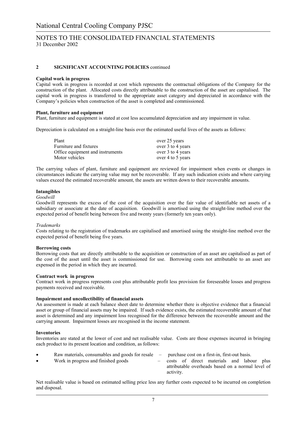### **2 SIGNIFICANT ACCOUNTING POLICIES** continued

### **Capital work in progress**

Capital work in progress is recorded at cost which represents the contractual obligations of the Company for the construction of the plant. Allocated costs directly attributable to the construction of the asset are capitalised. The capital work in progress is transferred to the appropriate asset category and depreciated in accordance with the Company's policies when construction of the asset is completed and commissioned.

### **Plant, furniture and equipment**

Plant, furniture and equipment is stated at cost less accumulated depreciation and any impairment in value.

Depreciation is calculated on a straight-line basis over the estimated useful lives of the assets as follows:

| Plant                            | over 25 years     |
|----------------------------------|-------------------|
| Furniture and fixtures           | over 3 to 4 years |
| Office equipment and instruments | over 3 to 4 years |
| Motor vehicles                   | over 4 to 5 years |

The carrying values of plant, furniture and equipment are reviewed for impairment when events or changes in circumstances indicate the carrying value may not be recoverable. If any such indication exists and where carrying values exceed the estimated recoverable amount, the assets are written down to their recoverable amounts.

#### **Intangibles**

#### *Goodwill*

Goodwill represents the excess of the cost of the acquisition over the fair value of identifiable net assets of a subsidiary or associate at the date of acquisition. Goodwill is amortised using the straight-line method over the expected period of benefit being between five and twenty years (formerly ten years only).

#### *Trademarks*

Costs relating to the registration of trademarks are capitalised and amortised using the straight-line method over the expected period of benefit being five years.

#### **Borrowing costs**

Borrowing costs that are directly attributable to the acquisition or construction of an asset are capitalised as part of the cost of the asset until the asset is commissioned for use. Borrowing costs not attributable to an asset are expensed in the period in which they are incurred.

#### **Contract work in progress**

Contract work in progress represents cost plus attributable profit less provision for foreseeable losses and progress payments received and receivable.

#### **Impairment and uncollectibility of financial assets**

An assessment is made at each balance sheet date to determine whether there is objective evidence that a financial asset or group of financial assets may be impaired. If such evidence exists, the estimated recoverable amount of that asset is determined and any impairment loss recognised for the difference between the recoverable amount and the carrying amount. Impairment losses are recognised in the income statement.

#### **Inventories**

Inventories are stated at the lower of cost and net realisable value. Costs are those expenses incurred in bringing each product to its present location and condition, as follows:

|           | Raw materials, consumables and goods for resale | $\sim$ |           |  | purchase cost on a first-in, first-out basis.     |  |  |
|-----------|-------------------------------------------------|--------|-----------|--|---------------------------------------------------|--|--|
| $\bullet$ | Work in progress and finished goods             |        |           |  | costs of direct materials and labour plus         |  |  |
|           |                                                 |        |           |  | attributable overheads based on a normal level of |  |  |
|           |                                                 |        | activity. |  |                                                   |  |  |

Net realisable value is based on estimated selling price less any further costs expected to be incurred on completion and disposal.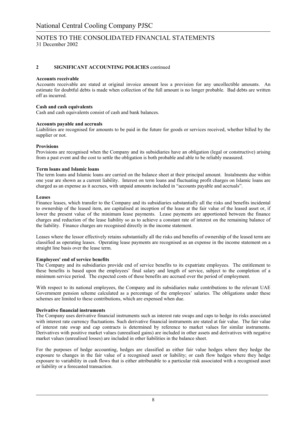### **2 SIGNIFICANT ACCOUNTING POLICIES** continued

### **Accounts receivable**

Accounts receivable are stated at original invoice amount less a provision for any uncollectible amounts. An estimate for doubtful debts is made when collection of the full amount is no longer probable. Bad debts are written off as incurred.

### **Cash and cash equivalents**

Cash and cash equivalents consist of cash and bank balances.

### **Accounts payable and accruals**

Liabilities are recognised for amounts to be paid in the future for goods or services received, whether billed by the supplier or not.

### **Provisions**

Provisions are recognised when the Company and its subsidiaries have an obligation (legal or constructive) arising from a past event and the cost to settle the obligation is both probable and able to be reliably measured.

### **Term loans and Islamic loans**

The term loans and Islamic loans are carried on the balance sheet at their principal amount. Instalments due within one year are shown as a current liability. Interest on term loans and fluctuating profit charges on Islamic loans are charged as an expense as it accrues, with unpaid amounts included in "accounts payable and accruals".

### **Leases**

Finance leases, which transfer to the Company and its subsidiaries substantially all the risks and benefits incidental to ownership of the leased item, are capitalised at inception of the lease at the fair value of the leased asset or, if lower the present value of the minimum lease payments. Lease payments are apportioned between the finance charges and reduction of the lease liability so as to achieve a constant rate of interest on the remaining balance of the liability. Finance charges are recognised directly in the income statement.

Leases where the lessor effectively retains substantially all the risks and benefits of ownership of the leased term are classified as operating leases. Operating lease payments are recognised as an expense in the income statement on a straight line basis over the lease term.

### **Employees' end of service benefits**

The Company and its subsidiaries provide end of service benefits to its expatriate employees. The entitlement to these benefits is based upon the employees' final salary and length of service, subject to the completion of a minimum service period. The expected costs of these benefits are accrued over the period of employment.

With respect to its national employees, the Company and its subsidiaries make contributions to the relevant UAE Government pension scheme calculated as a percentage of the employees' salaries. The obligations under these schemes are limited to these contributions, which are expensed when due.

#### **Derivative financial instruments**

The Company uses derivative financial instruments such as interest rate swaps and caps to hedge its risks associated with interest rate currency fluctuations. Such derivative financial instruments are stated at fair value. The fair value of interest rate swap and cap contracts is determined by reference to market values for similar instruments. Derivatives with positive market values (unrealised gains) are included in other assets and derivatives with negative market values (unrealised losses) are included in other liabilities in the balance sheet.

For the purposes of hedge accounting, hedges are classified as either fair value hedges where they hedge the exposure to changes in the fair value of a recognised asset or liability; or cash flow hedges where they hedge exposure to variability in cash flows that is either attributable to a particular risk associated with a recognised asset or liability or a forecasted transaction.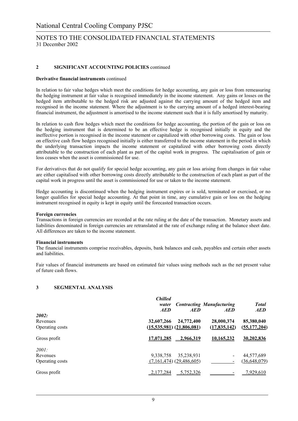### **2 SIGNIFICANT ACCOUNTING POLICIES** continued

#### **Derivative financial instruments** continued

In relation to fair value hedges which meet the conditions for hedge accounting, any gain or loss from remeasuring the hedging instrument at fair value is recognised immediately in the income statement. Any gains or losses on the hedged item attributable to the hedged risk are adjusted against the carrying amount of the hedged item and recognised in the income statement. Where the adjustment is to the carrying amount of a hedged interest-bearing financial instrument, the adjustment is amortised to the income statement such that it is fully amortised by maturity.

In relation to cash flow hedges which meet the conditions for hedge accounting, the portion of the gain or loss on the hedging instrument that is determined to be an effective hedge is recognised initially in equity and the ineffective portion is recognised in the income statement or capitalized with other borrowing costs. The gain or loss on effective cash flow hedges recognised initially is either transferred to the income statement in the period in which the underlying transaction impacts the income statement or capitalized with other borrowing costs directly attributable to the construction of each plant as part of the capital work in progress. The capitalisation of gain or loss ceases when the asset is commissioned for use.

For derivatives that do not qualify for special hedge accounting, any gain or loss arising from changes in fair value are either capitalised with other borrowing costs directly attributable to the construction of each plant as part of the capital work in progress until the asset is commissioned for use or taken to the income statement.

Hedge accounting is discontinued when the hedging instrument expires or is sold, terminated or exercised, or no longer qualifies for special hedge accounting. At that point in time, any cumulative gain or loss on the hedging instrument recognised in equity is kept in equity until the forecasted transaction occurs.

#### **Foreign currencies**

Transactions in foreign currencies are recorded at the rate ruling at the date of the transaction. Monetary assets and liabilities denominated in foreign currencies are retranslated at the rate of exchange ruling at the balance sheet date. All differences are taken to the income statement.

#### **Financial instruments**

The financial instruments comprise receivables, deposits, bank balances and cash, payables and certain other assets and liabilities.

Fair values of financial instruments are based on estimated fair values using methods such as the net present value of future cash flows.

### **3 SEGMENTAL ANALYSIS**

|                 | <b>Chilled</b><br>water<br><b>AED</b> | <b>AED</b>                    | <b>Contracting Manufacturing</b><br><b>AED</b> | <b>Total</b><br><b>AED</b> |
|-----------------|---------------------------------------|-------------------------------|------------------------------------------------|----------------------------|
| 2002:           |                                       |                               |                                                |                            |
| Revenues        | 32,607,266                            | 24,772,400                    | 28,000,374                                     | 85,380,040                 |
| Operating costs |                                       | $(15,535,981)$ $(21,806,081)$ | (17,835,142)                                   | (55, 177, 204)             |
| Gross profit    | 17,071,285                            | $-2,966,319$                  | 10,165,232                                     | 30,202,836                 |
| 2001:           |                                       |                               |                                                |                            |
| Revenues        | 9,338,758                             | 35,238,931                    | $\blacksquare$                                 | 44,577,689                 |
| Operating costs |                                       | $(7,161,474)$ $(29,486,605)$  |                                                | (36, 648, 079)             |
| Gross profit    | 2,177,284                             | 5,752,326                     |                                                | <u>7,929,610</u>           |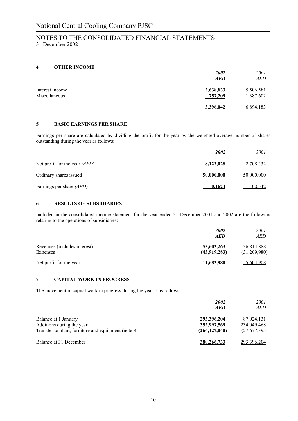## **4 OTHER INCOME**

|                                  | 2002<br><b>AED</b>   | 2001<br>AED            |
|----------------------------------|----------------------|------------------------|
| Interest income<br>Miscellaneous | 2,638,833<br>757,209 | 5,506,581<br>1,387,602 |
|                                  | 3,396,042            | 6,894,183              |

# **5 BASIC EARNINGS PER SHARE**

Earnings per share are calculated by dividing the profit for the year by the weighted average number of shares outstanding during the year as follows:

|                                 | 2002          | 2001       |
|---------------------------------|---------------|------------|
| Net profit for the year $(AED)$ | 8,122,028     | 2,708,432  |
| Ordinary shares issued          | 50,000,000    | 50,000,000 |
| Earnings per share (AED)        | <u>0.1624</u> | 0.0542     |

### **6 RESULTS OF SUBSIDIARIES**

Included in the consolidated income statement for the year ended 31 December 2001 and 2002 are the following relating to the operations of subsidiaries:

|                                          | 2002<br><b>AED</b>         | 2001<br><i>AED</i>         |
|------------------------------------------|----------------------------|----------------------------|
| Revenues (includes interest)<br>Expenses | 55,603,263<br>(43,919,283) | 36,814,888<br>(31,209,980) |
| Net profit for the year                  | 11.683.980                 | 5,604,908                  |

### **7 CAPITAL WORK IN PROGRESS**

The movement in capital work in progress during the year is as follows:

|                                                     | 2002<br><b>AED</b> | <i>2001</i><br><i>AED</i> |
|-----------------------------------------------------|--------------------|---------------------------|
| Balance at 1 January                                | 293,396,204        | 87,024,131                |
| Additions during the year                           | 352,997,569        | 234,049,468               |
| Transfer to plant, furniture and equipment (note 8) | (266, 127, 040)    | (27,677,395)              |
| Balance at 31 December                              | 380,266,733        | 293.396.204               |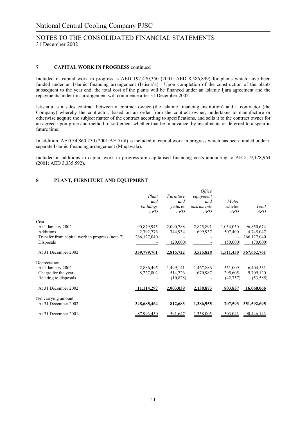## **7 CAPITAL WORK IN PROGRESS** continued

Included in capital work in progress is AED 192,470,350 (2001: AED 8,586,899) for plants which have been funded under an Islamic financing arrangement (Istisna'a). Upon completion of the construction of the plants subsequent to the year end, the total cost of the plants will be financed under an Islamic Ijara agreement and the repayments under this arrangement will commence after 31 December 2002.

Istisna'a is a sales contract between a contract owner (the Islamic financing institution) and a contractor (the Company) whereby the contractor, based on an order from the contract owner, undertakes to manufacture or otherwise acquire the subject matter of the contract according to specifications, and sells it to the contract owner for an agreed upon price and method of settlement whether that be in advance, by instalments or deferred to a specific future time.

In addition, AED 34,860,250 (2001:AED nil) is included in capital work in progress which has been funded under a separate Islamic financing arrangement (Muqawala).

Included in additions to capital work in progress are capitalised financing costs amounting to AED 19,178,964 (2001: AED 3,335,592).

### **8 PLANT, FURNITURE AND EQUIPMENT**

|                                                 | Plant       | Furniture  | Office<br>equipment |                |               |
|-------------------------------------------------|-------------|------------|---------------------|----------------|---------------|
|                                                 | and         | and        | and                 | Motor          |               |
|                                                 | buildings   | fixtures   | instruments         | vehicles       | Total         |
|                                                 | <b>AED</b>  | <b>AED</b> | <b>AED</b>          | <b>AED</b>     | <b>AED</b>    |
| Cost:                                           |             |            |                     |                |               |
| At 1 January 2002                               | 90,879,945  | 2,090,788  | 2,825,891           | 1,054,050      | 96,850,674    |
| Additions                                       | 2,792,776   | 744,934    | 699,937             | 507,400        | 4,745,047     |
| Transfer from capital work in progress (note 7) | 266,127,040 |            |                     |                | 266,127,040   |
| Disposals                                       |             | (20,000)   |                     | (50,000)       | (70,000)      |
| At 31 December 2002                             | 359,799,761 | 2,815,722  | 3,525,828           | 1,511,450      | 367, 652, 761 |
| Depreciation:                                   |             |            |                     |                |               |
| At 1 January 2002                               | 2,886,495   | 1,499,141  | 1,467,886           | 551,009        | 6,404,531     |
| Charge for the year                             | 8,227,802   | 514,726    | 670,987             | 295,605        | 9,709,120     |
| Relating to disposals                           |             | (10, 828)  |                     | (42, 757)      | (53, 585)     |
| At 31 December 2002                             | 11,114,297  | 2,003,039  | 2,138,873           | 803,857        | 16,060,066    |
| Net carrying amount                             |             |            |                     |                |               |
| At 31 December 2002                             | 348.685.464 | 812,683    | 1.386.955           | <u>707.593</u> | 351,592,695   |
| At 31 December 2001                             | 87,993,450  | 591,647    | 1,358,005           | 503,041        | 90,446,143    |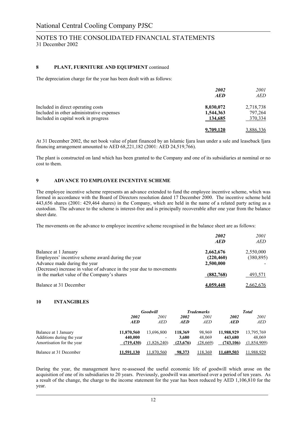### **8 PLANT, FURNITURE AND EQUIPMENT** continued

The depreciation charge for the year has been dealt with as follows:

|                                           | 2002<br><b>AED</b> | <i>2001</i><br>AED |
|-------------------------------------------|--------------------|--------------------|
| Included in direct operating costs        | 8,030,072          | 2,718,738          |
| Included in other administrative expenses | 1,544,363          | 797,264            |
| Included in capital work in progress      | 134,685            | 370,334            |
|                                           | 9,709,120          | 3,886,336          |

At 31 December 2002, the net book value of plant financed by an Islamic Ijara loan under a sale and leaseback Ijara financing arrangement amounted to AED 68,221,182 (2001: AED 24,519,766).

The plant is constructed on land which has been granted to the Company and one of its subsidiaries at nominal or no cost to them.

### **9 ADVANCE TO EMPLOYEE INCENTIVE SCHEME**

The employee incentive scheme represents an advance extended to fund the employee incentive scheme, which was formed in accordance with the Board of Directors resolution dated 17 December 2000. The incentive scheme held 443,656 shares (2001: 429,464 shares) in the Company, which are held in the name of a related party acting as a custodian. The advance to the scheme is interest-free and is principally recoverable after one year from the balance sheet date.

The movements on the advance to employee incentive scheme recognised in the balance sheet are as follows:

|                                                                      | 2002<br><b>AED</b> | 2001<br>AED |
|----------------------------------------------------------------------|--------------------|-------------|
| Balance at 1 January                                                 | 2,662,676          | 2,550,000   |
| Employees' incentive scheme award during the year                    | (220, 460)         | (380, 895)  |
| Advance made during the year                                         | 2,500,000          |             |
| (Decrease) increase in value of advance in the year due to movements |                    |             |
| in the market value of the Company's shares                          | (882,768)          | 493,571     |
| Balance at 31 December                                               | 4,059,448          | 2,662,676   |

#### **10 INTANGIBLES**

|                           |            | Goodwill    |                   | <b>Trademarks</b> |            | Total       |
|---------------------------|------------|-------------|-------------------|-------------------|------------|-------------|
|                           | 2002       | 2001        | 2002              | 2001              | 2002       | 2001        |
|                           | AED        | <i>AED</i>  | <i><b>AED</b></i> | <b>AED</b>        | <b>AED</b> | AED         |
| Balance at 1 January      | 11,870,560 | 13,696,800  | 118,369           | 98.969            | 11,988,929 | 13,795,769  |
| Additions during the year | 440,000    |             | 3.680             | 48,069            | 443.680    | 48,069      |
| Amortisation for the year | (719.430)  | (1.826.240) | (23,676)          | (28,669)          | (743, 106) | (1,854,909) |
| Balance at 31 December    | 11.591.130 | 11.870.560  | 98.373            | 118.369           | 11.689.503 | 11.988.929  |

During the year, the management have re-assessed the useful economic life of goodwill which arose on the acquisition of one of its subsidiaries to 20 years. Previously, goodwill was amortised over a period of ten years. As a result of the change, the charge to the income statement for the year has been reduced by AED 1,106,810 for the year.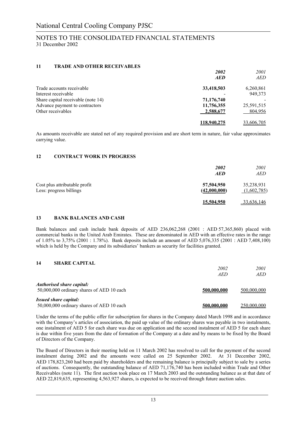### **11 TRADE AND OTHER RECEIVABLES**

|                                    | 2002        | 2001       |
|------------------------------------|-------------|------------|
|                                    | <b>AED</b>  | <i>AED</i> |
| Trade accounts receivable          | 33,418,503  | 6,260,861  |
| Interest receivable                |             | 949,373    |
| Share capital receivable (note 14) | 71,176,740  |            |
| Advance payment to contractors     | 11,756,355  | 25,591,515 |
| Other receivables                  | 2,588,677   | 804,956    |
|                                    | 118,940,275 | 33.606.705 |

As amounts receivable are stated net of any required provision and are short term in nature, fair value approximates carrying value.

### **12 CONTRACT WORK IN PROGRESS**

|                                                          | 2002<br><b>AED</b>         | 2001<br>AED               |
|----------------------------------------------------------|----------------------------|---------------------------|
| Cost plus attributable profit<br>Less: progress billings | 57,504,950<br>(42,000,000) | 35,238,931<br>(1,602,785) |
|                                                          | 15.504.950                 | 33,636,146                |

### **13 BANK BALANCES AND CASH**

Bank balances and cash include bank deposits of AED 236,062,268 (2001 : AED 57,365,860) placed with commercial banks in the United Arab Emirates. These are denominated in AED with an effective rates in the range of 1.05% to 3,75% (2001 : 1.78%). Bank deposits include an amount of AED 5,076,335 (2001 : AED 7,408,100) which is held by the Company and its subsidiaries' bankers as security for facilities granted.

### **14 SHARE CAPITAL**

|                                                                               | 2002<br><i>AED</i> | 2001<br><i>AED</i> |
|-------------------------------------------------------------------------------|--------------------|--------------------|
| <i>Authorised share capital:</i><br>50,000,000 ordinary shares of AED 10 each | 500,000,000        | 500,000,000        |
| <i>Issued share capital:</i><br>50,000,000 ordinary shares of AED 10 each     | 500,000,000        | 250,000,000        |

Under the terms of the public offer for subscription for shares in the Company dated March 1998 and in accordance with the Company's articles of association, the paid up value of the ordinary shares was payable in two instalments, one instalment of AED 5 for each share was due on application and the second instalment of AED 5 for each share is due within five years from the date of formation of the Company at a date and by means to be fixed by the Board of Directors of the Company.

The Board of Directors in their meeting held on 11 March 2002 has resolved to call for the payment of the second instalment during 2002 and the amounts were called on 25 September 2002. At 31 December 2002, AED 178,823,260 had been paid by shareholders and the remaining balance is principally subject to sale by a series of auctions. Consequently, the outstanding balance of AED 71,176,740 has been included within Trade and Other Receivables (note 11). The first auction took place on 17 March 2003 and the outstanding balance as at that date of AED 22,819,635, representing 4,563,927 shares, is expected to be received through future auction sales.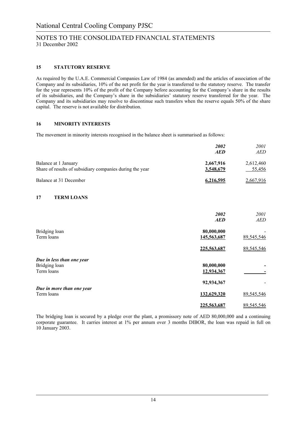### **15 STATUTORY RESERVE**

As required by the U.A.E. Commercial Companies Law of 1984 (as amended) and the articles of association of the Company and its subsidiaries, 10% of the net profit for the year is transferred to the statutory reserve. The transfer for the year represents 10% of the profit of the Company before accounting for the Company's share in the results of its subsidiaries, and the Company's share in the subsidiaries' statutory reserve transferred for the year. The Company and its subsidiaries may resolve to discontinue such transfers when the reserve equals 50% of the share capital. The reserve is not available for distribution.

### **16 MINORITY INTERESTS**

The movement in minority interests recognised in the balance sheet is summarised as follows:

|                                                                                  | 2002<br><i><b>AED</b></i> | <i>2001</i><br>AED  |
|----------------------------------------------------------------------------------|---------------------------|---------------------|
| Balance at 1 January<br>Share of results of subsidiary companies during the year | 2,667,916<br>3,548,679    | 2,612,460<br>55,456 |
| Balance at 31 December                                                           | 6.216.595                 | 2,667,916           |

### **17 TERM LOANS**

|                                                          | 2002<br><b>AED</b>         | 2001<br><b>AED</b>       |
|----------------------------------------------------------|----------------------------|--------------------------|
| Bridging loan<br>Term loans                              | 80,000,000<br>145,563,687  | 89,545,546               |
|                                                          | 225,563,687                | 89,545,546               |
| Due in less than one year<br>Bridging loan<br>Term loans | 80,000,000<br>12,934,367   |                          |
| Due in more than one year                                | 92,934,367                 |                          |
| Term loans                                               | 132,629,320<br>225,563,687 | 89,545,546<br>89,545,546 |

The bridging loan is secured by a pledge over the plant, a promissory note of AED 80,000,000 and a continuing corporate guarantee. It carries interest at 1% per annum over 3 months DIBOR, the loan was repaid in full on 10 January 2003.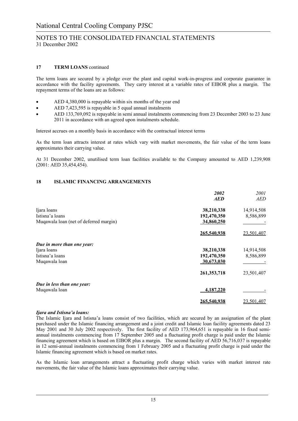### **17 TERM LOANS** continued

The term loans are secured by a pledge over the plant and capital work-in-progress and corporate guarantee in accordance with the facility agreements. They carry interest at a variable rates of EIBOR plus a margin. The repayment terms of the loans are as follows:

- AED 4,380,000 is repayable within six months of the year end
- AED 7,423,595 is repayable in 5 equal annual instalments
- AED 133,769,092 is repayable in semi annual instalments commencing from 23 December 2003 to 23 June 2011 in accordance with an agreed upon instalments schedule.

Interest accrues on a monthly basis in accordance with the contractual interest terms

As the term loan attracts interest at rates which vary with market movements, the fair value of the term loans approximates their carrying value.

At 31 December 2002, unutilised term loan facilities available to the Company amounted to AED 1,239,908 (2001: AED 35,454,454).

### **18 ISLAMIC FINANCING ARRANGEMENTS**

|                                                                               | 2002<br><b>AED</b>                      | 2001<br><b>AED</b>      |
|-------------------------------------------------------------------------------|-----------------------------------------|-------------------------|
| Ijara loans<br>Istisna'a loans<br>Muqawala loan (net of deferred margin)      | 38,210,338<br>192,470,350<br>34,860,250 | 14,914,508<br>8,586,899 |
|                                                                               | 265,540,938                             | 23,501,407              |
| Due in more than one year:<br>Ijara loans<br>Istisna'a loans<br>Muqawala loan | 38,210,338<br>192,470,350<br>30,673,030 | 14,914,508<br>8,586,899 |
|                                                                               | 261,353,718                             | 23,501,407              |
| Due in less than one year:<br>Muqawala loan                                   | 4,187,220                               |                         |
|                                                                               | 265,540,938                             | 23,501,407              |

#### *Ijara and Istisna'a loans:*

The Islamic Ijara and Istisna'a loans consist of two facilities, which are secured by an assignation of the plant purchased under the Islamic financing arrangement and a joint credit and Islamic loan facility agreements dated 23 May 2001 and 30 July 2002 respectively. The first facility of AED 173,964,651 is repayable in 16 fixed semiannual instalments commencing from 17 September 2005 and a fluctuating profit charge is paid under the Islamic financing agreement which is based on EIBOR plus a margin. The second facility of AED 56,716,037 is repayable in 12 semi-annual instalments commencing from 1 February 2005 and a fluctuating profit charge is paid under the Islamic financing agreement which is based on market rates.

As the Islamic loan arrangements attract a fluctuating profit charge which varies with market interest rate movements, the fair value of the Islamic loans approximates their carrying value.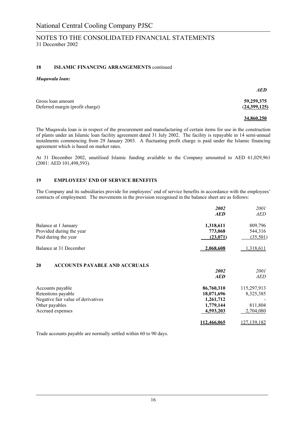### **18 ISLAMIC FINANCING ARRANGEMENTS** continued

### *Muqawala loan:*

|                                 | <b>AED</b>   |
|---------------------------------|--------------|
| Gross loan amount               | 59,259,375   |
| Deferred margin (profit charge) | (24,399,125) |

### **34,860,250**

The Muqawala loan is in respect of the procurement and manufacturing of certain items for use in the construction of plants under an Islamic loan facility agreement dated 31 July 2002. The facility is repayable in 14 semi-annual instalments commencing from 29 January 2003. A fluctuating profit charge is paid under the Islamic financing agreement which is based on market rates.

At 31 December 2002, unutilised Islamic funding available to the Company amounted to AED 61,029,961 (2001: AED 101,498,593).

### **19 EMPLOYEES' END OF SERVICE BENEFITS**

The Company and its subsidiaries provide for employees' end of service benefits in accordance with the employees' contracts of employment. The movements in the provision recognised in the balance sheet are as follows:

|                                                                                                                    | 2002<br><b>AED</b>                                              | 2001<br>AED                                      |
|--------------------------------------------------------------------------------------------------------------------|-----------------------------------------------------------------|--------------------------------------------------|
| Balance at 1 January<br>Provided during the year<br>Paid during the year                                           | 1,318,611<br>773,068<br>(23,071)                                | 809,796<br>544,316<br>(35,501)                   |
| Balance at 31 December                                                                                             | 2,068,608                                                       | 1,318,611                                        |
| 20<br><b>ACCOUNTS PAYABLE AND ACCRUALS</b>                                                                         | 2002<br><b>AED</b>                                              | 2001<br>AED                                      |
| Accounts payable<br>Retentions payable<br>Negative fair value of derivatives<br>Other payables<br>Accrued expenses | 86,760,310<br>18,071,696<br>1,261,712<br>1,779,144<br>4,593,203 | 115,297,913<br>8,325,385<br>811,804<br>2,704,080 |
|                                                                                                                    | 112,466,065                                                     | 127,139,182                                      |

Trade accounts payable are normally settled within 60 to 90 days.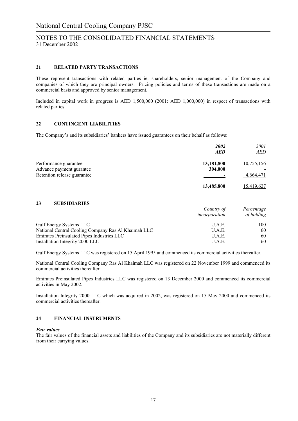### **21 RELATED PARTY TRANSACTIONS**

These represent transactions with related parties ie. shareholders, senior management of the Company and companies of which they are principal owners. Pricing policies and terms of these transactions are made on a commercial basis and approved by senior management.

Included in capital work in progress is AED 1,500,000 (2001: AED 1,000,000) in respect of transactions with related parties.

### **22 CONTINGENT LIABILITIES**

The Company's and its subsidiaries' bankers have issued guarantees on their behalf as follows:

|                             | 2002              | 2001              |
|-----------------------------|-------------------|-------------------|
|                             | <b>AED</b>        | AED               |
| Performance guarantee       | 13,181,800        | 10,755,156        |
| Advance payment gurantee    | 304,000           |                   |
| Retention release guarantee |                   | 4,664,471         |
|                             | <u>13.485.800</u> | <u>15,419,627</u> |

### **23 SUBSIDIARIES**

|                                                     | Country of<br>incorporation | Percentage<br>of holding |
|-----------------------------------------------------|-----------------------------|--------------------------|
| <b>Gulf Energy Systems LLC</b>                      | U.A.E.                      | 100                      |
| National Central Cooling Company Ras Al Khaimah LLC | U.A.E.                      | 60                       |
| Emirates Preinsulated Pipes Industries LLC          | U.A.E.                      | 60                       |
| Installation Integrity 2000 LLC                     | U.A.E.                      | 60                       |

Gulf Energy Systems LLC was registered on 15 April 1995 and commenced its commercial activities thereafter.

National Central Cooling Company Ras Al Khaimah LLC was registered on 22 November 1999 and commenced its commercial activities thereafter.

Emirates Preinsulated Pipes Industries LLC was registered on 13 December 2000 and commenced its commercial activities in May 2002.

Installation Integrity 2000 LLC which was acquired in 2002, was registered on 15 May 2000 and commenced its commercial activities thereafter.

### **24 FINANCIAL INSTRUMENTS**

#### *Fair values*

The fair values of the financial assets and liabilities of the Company and its subsidiaries are not materially different from their carrying values.